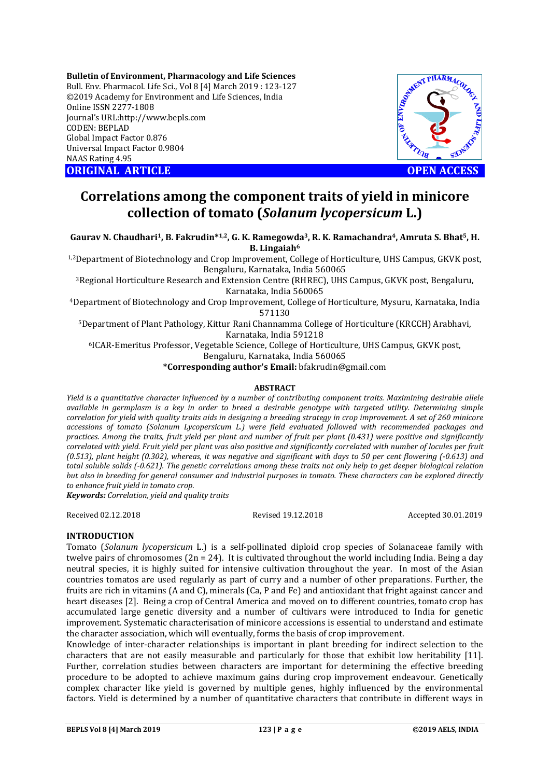**Bulletin of Environment, Pharmacology and Life Sciences** Bull. Env. Pharmacol. Life Sci., Vol 8 [4] March 2019 : 123-127 ©2019 Academy for Environment and Life Sciences, India Online ISSN 2277-1808 Journal's URL:http://www.bepls.com CODEN: BEPLAD Global Impact Factor 0.876 Universal Impact Factor 0.9804 NAAS Rating 4.95 **ORIGINAL ARTICLE OPEN ACCESS** 



# **Correlations among the component traits of yield in minicore collection of tomato (***Solanum lycopersicum* **L.)**

**Gaurav N. Chaudhari1, B. Fakrudin\*1,2, G. K. Ramegowda3, R. K. Ramachandra4, Amruta S. Bhat5, H. B. Lingaiah6**

1,2Department of Biotechnology and Crop Improvement, College of Horticulture, UHS Campus, GKVK post, Bengaluru, Karnataka, India 560065

3Regional Horticulture Research and Extension Centre (RHREC), UHS Campus, GKVK post, Bengaluru, Karnataka, India 560065

4Department of Biotechnology and Crop Improvement, College of Horticulture, Mysuru, Karnataka, India 571130

5Department of Plant Pathology, Kittur Rani Channamma College of Horticulture (KRCCH) Arabhavi, Karnataka, India 591218

6ICAR-Emeritus Professor, Vegetable Science, College of Horticulture, UHS Campus, GKVK post,

Bengaluru, Karnataka, India 560065

**\*Corresponding author's Email:** bfakrudin@gmail.com

#### **ABSTRACT**

*Yield is a quantitative character influenced by a number of contributing component traits. Maximining desirable allele available in germplasm is a key in order to breed a desirable genotype with targeted utility. Determining simple correlation for yield with quality traits aids in designing a breeding strategy in crop improvement. A set of 260 minicore accessions of tomato (Solanum Lycopersicum L.) were field evaluated followed with recommended packages and practices. Among the traits, fruit yield per plant and number of fruit per plant (0.431) were positive and significantly correlated with yield. Fruit yield per plant was also positive and significantly correlated with number of locules per fruit (0.513), plant height (0.302), whereas, it was negative and significant with days to 50 per cent flowering (-0.613) and total soluble solids (-0.621). The genetic correlations among these traits not only help to get deeper biological relation but also in breeding for general consumer and industrial purposes in tomato. These characters can be explored directly to enhance fruit yield in tomato crop.* 

*Keywords: Correlation, yield and quality traits*

Received 02.12.2018 Revised 19.12.2018 Accepted 30.01.2019

## **INTRODUCTION**

Tomato (*Solanum lycopersicum* L.) is a self-pollinated diploid crop species of Solanaceae family with twelve pairs of chromosomes  $(2n = 24)$ . It is cultivated throughout the world including India. Being a day neutral species, it is highly suited for intensive cultivation throughout the year. In most of the Asian countries tomatos are used regularly as part of curry and a number of other preparations. Further, the fruits are rich in vitamins (A and C), minerals (Ca, P and Fe) and antioxidant that fright against cancer and heart diseases [2]. Being a crop of Central America and moved on to different countries, tomato crop has accumulated large genetic diversity and a number of cultivars were introduced to India for genetic improvement. Systematic characterisation of minicore accessions is essential to understand and estimate the character association, which will eventually, forms the basis of crop improvement.

Knowledge of inter-character relationships is important in plant breeding for indirect selection to the characters that are not easily measurable and particularly for those that exhibit low heritability [11]. Further, correlation studies between characters are important for determining the effective breeding procedure to be adopted to achieve maximum gains during crop improvement endeavour. Genetically complex character like yield is governed by multiple genes, highly influenced by the environmental factors. Yield is determined by a number of quantitative characters that contribute in different ways in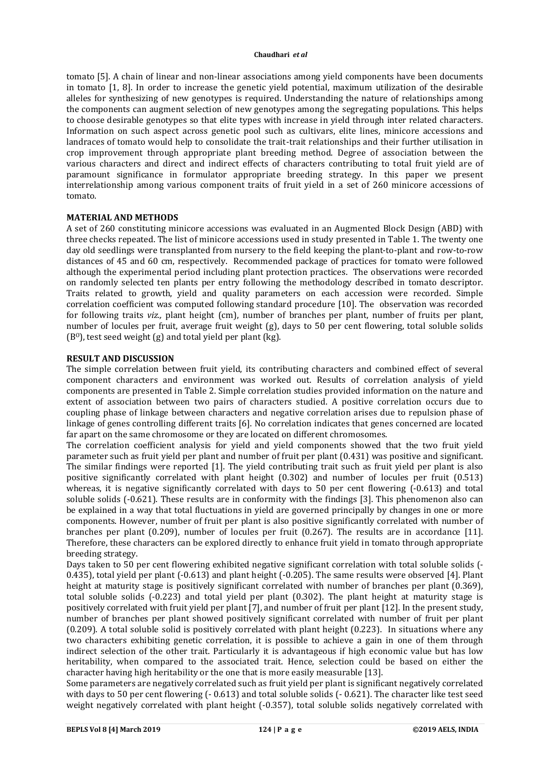tomato [5]. A chain of linear and non-linear associations among yield components have been documents in tomato [1, 8]. In order to increase the genetic yield potential, maximum utilization of the desirable alleles for synthesizing of new genotypes is required. Understanding the nature of relationships among the components can augment selection of new genotypes among the segregating populations. This helps to choose desirable genotypes so that elite types with increase in yield through inter related characters. Information on such aspect across genetic pool such as cultivars, elite lines, minicore accessions and landraces of tomato would help to consolidate the trait-trait relationships and their further utilisation in crop improvement through appropriate plant breeding method. Degree of association between the various characters and direct and indirect effects of characters contributing to total fruit yield are of paramount significance in formulator appropriate breeding strategy. In this paper we present interrelationship among various component traits of fruit yield in a set of 260 minicore accessions of tomato.

## **MATERIAL AND METHODS**

A set of 260 constituting minicore accessions was evaluated in an Augmented Block Design (ABD) with three checks repeated. The list of minicore accessions used in study presented in Table 1. The twenty one day old seedlings were transplanted from nursery to the field keeping the plant-to-plant and row-to-row distances of 45 and 60 cm, respectively. Recommended package of practices for tomato were followed although the experimental period including plant protection practices. The observations were recorded on randomly selected ten plants per entry following the methodology described in tomato descriptor. Traits related to growth, yield and quality parameters on each accession were recorded. Simple correlation coefficient was computed following standard procedure [10]. The observation was recorded for following traits *viz.,* plant height (cm), number of branches per plant, number of fruits per plant, number of locules per fruit, average fruit weight (g), days to 50 per cent flowering, total soluble solids  $(B<sup>0</sup>)$ , test seed weight  $(g)$  and total yield per plant  $(kg)$ .

# **RESULT AND DISCUSSION**

The simple correlation between fruit yield, its contributing characters and combined effect of several component characters and environment was worked out. Results of correlation analysis of yield components are presented in Table 2. Simple correlation studies provided information on the nature and extent of association between two pairs of characters studied. A positive correlation occurs due to coupling phase of linkage between characters and negative correlation arises due to repulsion phase of linkage of genes controlling different traits [6]. No correlation indicates that genes concerned are located far apart on the same chromosome or they are located on different chromosomes.

The correlation coefficient analysis for yield and yield components showed that the two fruit yield parameter such as fruit yield per plant and number of fruit per plant (0.431) was positive and significant. The similar findings were reported [1]. The yield contributing trait such as fruit yield per plant is also positive significantly correlated with plant height (0.302) and number of locules per fruit (0.513) whereas, it is negative significantly correlated with days to 50 per cent flowering (-0.613) and total soluble solids (-0.621). These results are in conformity with the findings [3]. This phenomenon also can be explained in a way that total fluctuations in yield are governed principally by changes in one or more components. However, number of fruit per plant is also positive significantly correlated with number of branches per plant (0.209), number of locules per fruit (0.267). The results are in accordance [11]. Therefore, these characters can be explored directly to enhance fruit yield in tomato through appropriate breeding strategy.

Days taken to 50 per cent flowering exhibited negative significant correlation with total soluble solids (- 0.435), total yield per plant (-0.613) and plant height (-0.205). The same results were observed [4]. Plant height at maturity stage is positively significant correlated with number of branches per plant (0.369), total soluble solids (-0.223) and total yield per plant (0.302). The plant height at maturity stage is positively correlated with fruit yield per plant [7], and number of fruit per plant [12]. In the present study, number of branches per plant showed positively significant correlated with number of fruit per plant (0.209). A total soluble solid is positively correlated with plant height (0.223). In situations where any two characters exhibiting genetic correlation, it is possible to achieve a gain in one of them through indirect selection of the other trait. Particularly it is advantageous if high economic value but has low heritability, when compared to the associated trait. Hence, selection could be based on either the character having high heritability or the one that is more easily measurable [13].

Some parameters are negatively correlated such as fruit yield per plant is significant negatively correlated with days to 50 per cent flowering (- 0.613) and total soluble solids (- 0.621). The character like test seed weight negatively correlated with plant height (-0.357), total soluble solids negatively correlated with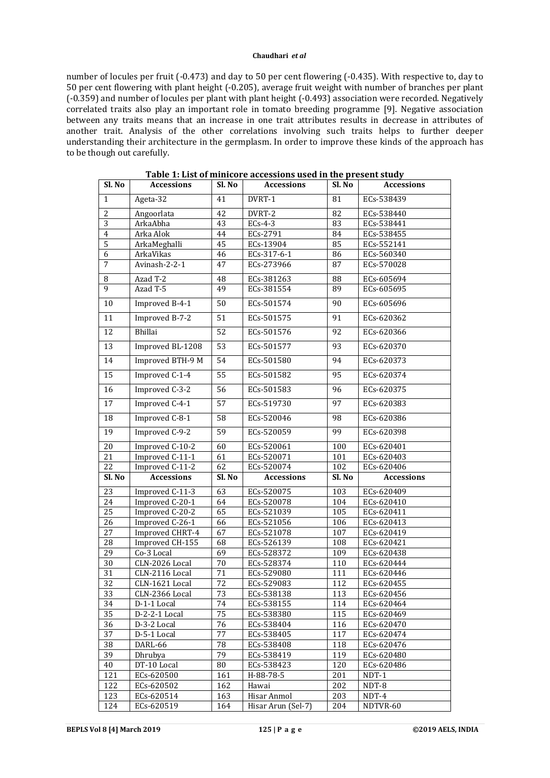number of locules per fruit (-0.473) and day to 50 per cent flowering (-0.435). With respective to, day to 50 per cent flowering with plant height (-0.205), average fruit weight with number of branches per plant (-0.359) and number of locules per plant with plant height (-0.493) association were recorded. Negatively correlated traits also play an important role in tomato breeding programme [9]. Negative association between any traits means that an increase in one trait attributes results in decrease in attributes of another trait. Analysis of the other correlations involving such traits helps to further deeper understanding their architecture in the germplasm. In order to improve these kinds of the approach has to be though out carefully.

| Sl. No          | <b>Accessions</b>            | Sl. No          | <b>Accessions</b>  | Sl. No | <b>Accessions</b> |  |
|-----------------|------------------------------|-----------------|--------------------|--------|-------------------|--|
| 1               | Ageta-32                     | 41              | DVRT-1             | 81     | ECs-538439        |  |
| $\overline{2}$  | Angoorlata                   | 42              | DVRT-2             | 82     | ECs-538440        |  |
| 3               | ArkaAbha                     | 43              | $ECs-4-3$          | 83     | ECs-538441        |  |
| $\overline{4}$  | Arka Alok                    | 44              | ECs-2791           | 84     | ECs-538455        |  |
| $\overline{5}$  | ArkaMeghalli                 | 45              | ECs-13904          | 85     | ECs-552141        |  |
| $\overline{6}$  | ArkaVikas                    | 46              | ECs-317-6-1        | 86     | ECs-560340        |  |
| $\overline{7}$  | Avinash-2-2-1                | 47              | ECs-273966         | 87     | ECs-570028        |  |
| 8               | Azad T-2                     | 48              | ECs-381263         | 88     | ECs-605694        |  |
| 9               | Azad T-5                     | 49              | ECs-381554         | 89     | ECs-605695        |  |
| 10              | Improved B-4-1               | 50              | ECs-501574         | 90     | ECs-605696        |  |
| 11              | Improved B-7-2               | 51              | ECs-501575         | 91     | ECs-620362        |  |
| 12              | Bhillai                      | 52              | ECs-501576         | 92     | ECs-620366        |  |
| 13              | Improved BL-1208             | $\overline{53}$ | ECs-501577         | 93     | ECs-620370        |  |
| 14              | Improved BTH-9 M             | 54              | ECs-501580         | 94     | ECs-620373        |  |
| $\overline{15}$ | Improved C-1-4               | $\overline{55}$ | ECs-501582         | 95     | ECs-620374        |  |
| 16              | Improved C-3-2               | 56              | ECs-501583         | 96     | ECs-620375        |  |
| 17              | Improved C-4-1               | 57              | ECs-519730         | 97     | ECs-620383        |  |
| 18              | Improved C-8-1               | 58              | ECs-520046         | 98     | ECs-620386        |  |
| 19              | Improved C-9-2               | 59              | ECs-520059         | 99     | ECs-620398        |  |
| 20              | Improved C-10-2              | 60              | ECs-520061         | 100    | ECs-620401        |  |
| 21              | Improved C-11-1              | 61              | ECs-520071         | 101    | ECs-620403        |  |
| 22              | Improved C-11-2              | 62              | ECs-520074         | 102    | ECs-620406        |  |
| Sl. No          | <b>Accessions</b>            | Sl. No          | <b>Accessions</b>  | Sl. No | <b>Accessions</b> |  |
| $\overline{23}$ | Improved $\overline{C-11-3}$ | 63              | ECs-520075         | 103    | ECs-620409        |  |
| $\overline{24}$ | Improved C-20-1              | 64              | ECs-520078         | 104    | ECs-620410        |  |
| 25              | Improved C-20-2              | 65              | ECs-521039         | 105    | ECs-620411        |  |
| 26              | Improved C-26-1              | 66              | ECs-521056         | 106    | ECs-620413        |  |
| 27              | Improved CHRT-4              | 67              | ECs-521078         | 107    | ECs-620419        |  |
| 28              | Improved CH-155              | 68              | ECs-526139         | 108    | ECs-620421        |  |
| 29              | Co-3 Local                   | 69              | ECs-528372         | 109    | ECs-620438        |  |
| 30              | CLN-2026 Local               | 70              | ECs-528374         | 110    | ECs-620444        |  |
| 31              | CLN-2116 Local               | $\overline{71}$ | ECs-529080         | 111    | ECs-620446        |  |
| 32              | CLN-1621 Local               | 72              | ECs-529083         | 112    | ECs-620455        |  |
| 33              | CLN-2366 Local               | 73              | ECs-538138         | 113    | ECs-620456        |  |
| 34              | D-1-1 Local                  | 74              | ECs-538155         | 114    | ECs-620464        |  |
| 35              | D-2-2-1 Local                | 75              | ECs-538380         | 115    | ECs-620469        |  |
| 36              | D-3-2 Local                  | 76              | ECs-538404         | 116    | ECs-620470        |  |
| 37              | D-5-1 Local                  | 77              | ECs-538405         | 117    | ECs-620474        |  |
| 38              | DARL-66                      | 78              | ECs-538408         | 118    | ECs-620476        |  |
| 39              | Dhrubya                      | 79              | ECs-538419         | 119    | ECs-620480        |  |
| 40              | DT-10 Local                  | 80              | ECs-538423         | 120    | ECs-620486        |  |
| 121             | ECs-620500                   | 161             | H-88-78-5          | 201    | NDT-1             |  |
| 122             | ECs-620502                   | 162             | Hawai              | 202    | NDT-8             |  |
| 123             | ECs-620514                   | 163             | Hisar Anmol        | 203    | NDT-4             |  |
| 124             | ECs-620519                   | 164             | Hisar Arun (Sel-7) | 204    | NDTVR-60          |  |

**Table 1: List of minicore accessions used in the present study**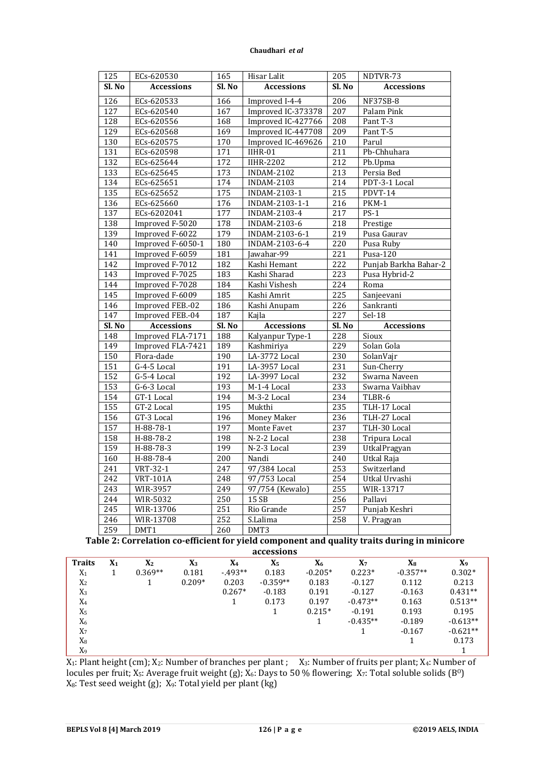| 125              | ECs-620530        | 165              | 205<br>Hisar Lalit |                             | NDTVR-73                 |  |
|------------------|-------------------|------------------|--------------------|-----------------------------|--------------------------|--|
| Sl. No           | <b>Accessions</b> | Sl. No           | <b>Accessions</b>  | Sl. No                      | <b>Accessions</b>        |  |
| $\overline{126}$ | ECs-620533        | 166              | Improved I-4-4     | 206                         | NF37SB-8                 |  |
| $\overline{127}$ | ECs-620540        | 167              | Improved IC-373378 | 207                         | Palam Pink               |  |
| $\overline{128}$ | ECs-620556        | 168              | Improved IC-427766 | 208                         | Pant T-3                 |  |
| 129              | ECs-620568        | 169              | Improved IC-447708 | 209                         | Pant T-5                 |  |
| 130              | ECs-620575        | 170              | Improved IC-469626 | 210                         | Parul                    |  |
| 131              | ECs-620598        | 171              | $IIHR-01$          | 211                         | Pb-Chhuhara              |  |
| 132              | ECs-625644        | 172              | <b>IIHR-2202</b>   | 212                         | Pb.Upma                  |  |
| 133              | ECs-625645        | 173              | <b>INDAM-2102</b>  | $\overline{213}$            | Persia Bed               |  |
| 134              | ECs-625651        | 174              | <b>INDAM-2103</b>  | $\overline{214}$            | PDT-3-1 Local            |  |
| 135              | ECs-625652        | 175              | INDAM-2103-1       | $\overline{215}$            | PDVT-14                  |  |
| 136              | ECs-625660        | 176              | INDAM-2103-1-1     | 216                         | PKM-1                    |  |
| 137              | ECs-6202041       | 177              | INDAM-2103-4       | $\overline{217}$            | $PS-1$                   |  |
| 138              | Improved F-5020   | 178              | INDAM-2103-6       | 218                         | Prestige                 |  |
| 139              | Improved F-6022   | 179              | INDAM-2103-6-1     | 219                         | Pusa Gaurav              |  |
| 140              | Improved F-6050-1 | 180              | INDAM-2103-6-4     | 220                         | Pusa Ruby                |  |
| $\overline{141}$ | Improved F-6059   | 181              | Jawahar-99         | $\overline{221}$            | Pusa-120                 |  |
| 142              | Improved F-7012   | $\overline{182}$ | Kashi Hemant       | 222                         | Punjab Barkha Bahar-2    |  |
| 143              | Improved F-7025   | 183              | Kashi Sharad       | 223                         | Pusa Hybrid-2            |  |
| 144              | Improved F-7028   | 184              | Kashi Vishesh      | 224                         | Roma                     |  |
| 145              | Improved F-6009   | 185              | Kashi Amrit        | 225                         | Sanjeevani               |  |
| 146              | Improved FEB.-02  | 186              | Kashi Anupam       | 226                         | Sankranti                |  |
| 147              | Improved FEB.-04  | 187              | Kajla              | 227                         | $Sel-18$                 |  |
| Sl. No           | <b>Accessions</b> |                  |                    | <b>Accessions</b><br>Sl. No |                          |  |
|                  |                   | Sl. No           |                    |                             | <b>Accessions</b>        |  |
| $\overline{148}$ | Improved FLA-7171 | 188              | Kalyanpur Type-1   | 228                         | Sioux                    |  |
| 149              | Improved FLA-7421 | 189              | Kashmiriya         | 229                         | Solan Gola               |  |
| 150              | Flora-dade        | 190              | LA-3772 Local      | 230                         | SolanVajr                |  |
| 151              | G-4-5 Local       | 191              | LA-3957 Local      | 231                         | Sun-Cherry               |  |
| 152              | G-5-4 Local       | 192              | LA-3997 Local      | 232                         | Swarna Naveen            |  |
| 153              | G-6-3 Local       | 193              | M-1-4 Local        | 233                         | Swarna Vaibhav           |  |
| 154              | GT-1 Local        | 194              | M-3-2 Local        | 234                         | TLBR-6                   |  |
| 155              | GT-2 Local        | 195              | Mukthi             | 235                         | TLH-17 Local             |  |
| 156              | GT-3 Local        | 196              | Money Maker        | 236                         | TLH-27 Local             |  |
| 157              | H-88-78-1         | 197              | Monte Favet        | 237                         | TLH-30 Local             |  |
| 158              | H-88-78-2         | 198              | N-2-2 Local        | 238                         | <b>Tripura Local</b>     |  |
| 159              | H-88-78-3         | 199              | N-2-3 Local        | 239                         | UtkalPragyan             |  |
| 160              | H-88-78-4         | 200              | Nandi              | $\overline{240}$            | Utkal Raja               |  |
| 241              | VRT-32-1          | 247              | 97/384 Local       | 253                         | Switzerland              |  |
| $\overline{242}$ | <b>VRT-101A</b>   | $\overline{248}$ | 97/753 Local       | 254                         | Utkal Urvashi            |  |
| 243              | WIR-3957          | 249              | 97/754 (Kewalo)    | 255                         | WIR-13717                |  |
| 244              | WIR-5032          | 250              | 15 SB              | 256                         | Pallavi                  |  |
| $\overline{245}$ | WIR-13706         | 251              | Rio Grande         | 257                         | Punjab Keshri            |  |
| 246<br>259       | WIR-13708         | 252              | S.Lalima           | 258                         | $\overline{V}$ . Pragyan |  |

**Table 2: Correlation co-efficient for yield component and quality traits during in minicore accessions**

| <b>Traits</b>  | $\mathbf{X}_1$ | X <sub>2</sub> | $X_3$    | X <sub>4</sub> | X5         | X <sub>6</sub> | $X_7$      | Xя         | X <sub>9</sub> |
|----------------|----------------|----------------|----------|----------------|------------|----------------|------------|------------|----------------|
| $X_1$          |                | $0.369**$      | 0.181    | $-493**$       | 0.183      | $-0.205*$      | $0.223*$   | $-0.357**$ | $0.302*$       |
| X <sub>2</sub> |                |                | $0.209*$ | 0.203          | $-0.359**$ | 0.183          | $-0.127$   | 0.112      | 0.213          |
| $X_3$          |                |                |          | $0.267*$       | $-0.183$   | 0.191          | $-0.127$   | $-0.163$   | $0.431**$      |
| $X_4$          |                |                |          |                | 0.173      | 0.197          | $-0.473**$ | 0.163      | $0.513**$      |
| X <sub>5</sub> |                |                |          |                |            | $0.215*$       | $-0.191$   | 0.193      | 0.195          |
| $X_6$          |                |                |          |                |            |                | $-0.435**$ | $-0.189$   | $-0.613**$     |
| X <sub>7</sub> |                |                |          |                |            |                |            | $-0.167$   | $-0.621**$     |
| $X_8$          |                |                |          |                |            |                |            |            | 0.173          |
| X <sub>9</sub> |                |                |          |                |            |                |            |            |                |

 $X_1:$  Plant height (cm);  $X_2:$  Number of branches per plant ;  $X_3:$  Number of fruits per plant;  $X_4:$  Number of locules per fruit;  $X_5$ : Average fruit weight (g);  $X_6$ : Days to 50 % flowering;  $X_7$ : Total soluble solids (B<sup>o</sup>)  $X_8$ : Test seed weight (g);  $X_9$ : Total yield per plant (kg)